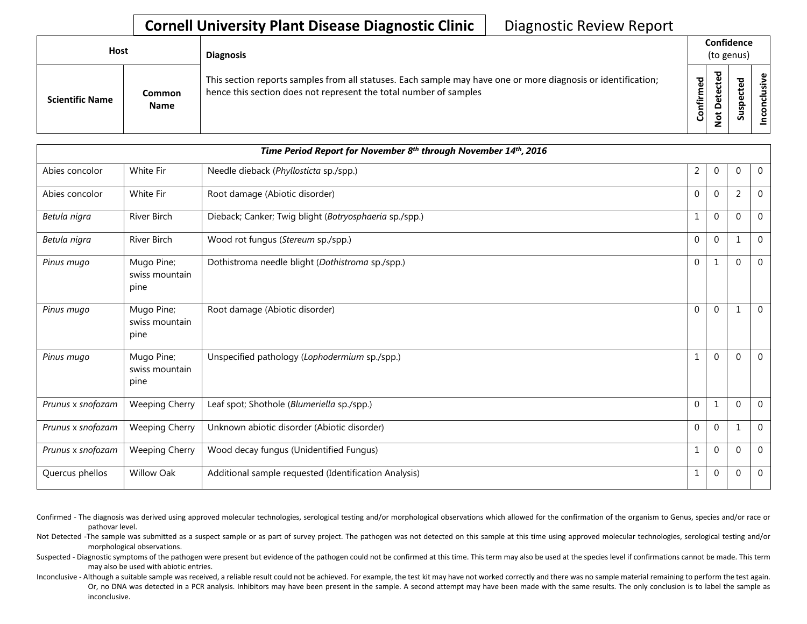## **Cornell University Plant Disease Diagnostic Clinic** | Diagnostic Review Report

| Host |                        |                              | <b>Diagnosis</b>                                                                                                                                                                   |                     |  | Confidence<br>(to genus) |                              |  |
|------|------------------------|------------------------------|------------------------------------------------------------------------------------------------------------------------------------------------------------------------------------|---------------------|--|--------------------------|------------------------------|--|
|      | <b>Scientific Name</b> | <b>Common</b><br><b>Name</b> | This section reports samples from all statuses. Each sample may have one or more diagnosis or identification;<br>hence this section does not represent the total number of samples | ъ<br>ω<br>tir<br>ပိ |  | ъ<br>ω<br><b>S</b>       | $\mathbf{\omega}$<br>šķ<br>g |  |

| Time Period Report for November 8th through November 14th, 2016 |                                      |                                                        |                |              |              |                |
|-----------------------------------------------------------------|--------------------------------------|--------------------------------------------------------|----------------|--------------|--------------|----------------|
| Abies concolor                                                  | White Fir                            | Needle dieback (Phyllosticta sp./spp.)                 | $\overline{2}$ | $\mathbf 0$  | $\Omega$     | $\overline{0}$ |
| Abies concolor                                                  | White Fir                            | Root damage (Abiotic disorder)                         | $\mathbf{0}$   | $\mathbf{0}$ | 2            | $\mathbf{0}$   |
| Betula nigra                                                    | River Birch                          | Dieback; Canker; Twig blight (Botryosphaeria sp./spp.) | $\mathbf{1}$   | $\mathbf 0$  | $\Omega$     | $\overline{0}$ |
| Betula nigra                                                    | <b>River Birch</b>                   | Wood rot fungus (Stereum sp./spp.)                     | $\mathbf{0}$   | $\mathbf 0$  | $\mathbf{1}$ | $\mathbf{0}$   |
| Pinus mugo                                                      | Mugo Pine;<br>swiss mountain<br>pine | Dothistroma needle blight (Dothistroma sp./spp.)       | $\mathbf 0$    | 1            | $\Omega$     | $\overline{0}$ |
| Pinus mugo                                                      | Mugo Pine;<br>swiss mountain<br>pine | Root damage (Abiotic disorder)                         | $\Omega$       | $\Omega$     | 1            | $\overline{0}$ |
| Pinus mugo                                                      | Mugo Pine;<br>swiss mountain<br>pine | Unspecified pathology (Lophodermium sp./spp.)          | $\mathbf{1}$   | $\Omega$     | $\Omega$     | $\mathbf{0}$   |
| Prunus x snofozam                                               | <b>Weeping Cherry</b>                | Leaf spot; Shothole (Blumeriella sp./spp.)             | $\mathbf 0$    | 1            | $\Omega$     | $\overline{0}$ |
| Prunus x snofozam                                               | <b>Weeping Cherry</b>                | Unknown abiotic disorder (Abiotic disorder)            | $\mathbf 0$    | $\mathbf 0$  |              | $\mathbf{0}$   |
| Prunus x snofozam                                               | <b>Weeping Cherry</b>                | Wood decay fungus (Unidentified Fungus)                | 1              | $\Omega$     | $\Omega$     | $\mathbf 0$    |
| Quercus phellos                                                 | <b>Willow Oak</b>                    | Additional sample requested (Identification Analysis)  | 1              | $\mathbf 0$  | $\mathbf 0$  | $\mathbf 0$    |

Confirmed - The diagnosis was derived using approved molecular technologies, serological testing and/or morphological observations which allowed for the confirmation of the organism to Genus, species and/or race or pathovar level.

Not Detected -The sample was submitted as a suspect sample or as part of survey project. The pathogen was not detected on this sample at this time using approved molecular technologies, serological testing and/or morphological observations.

Suspected - Diagnostic symptoms of the pathogen were present but evidence of the pathogen could not be confirmed at this time. This term may also be used at the species level if confirmations cannot be made. This term may also be used with abiotic entries.

Inconclusive - Although a suitable sample was received, a reliable result could not be achieved. For example, the test kit may have not worked correctly and there was no sample material remaining to perform the test again. Or, no DNA was detected in a PCR analysis. Inhibitors may have been present in the sample. A second attempt may have been made with the same results. The only conclusion is to label the sample as inconclusive.